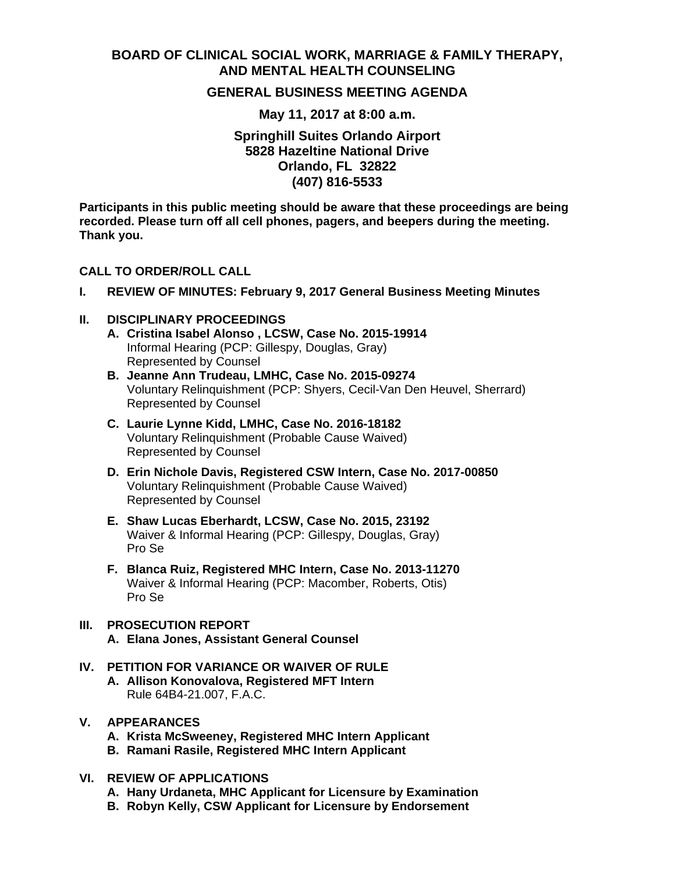# **BOARD OF CLINICAL SOCIAL WORK, MARRIAGE & FAMILY THERAPY, AND MENTAL HEALTH COUNSELING**

# **GENERAL BUSINESS MEETING AGENDA**

**May 11, 2017 at 8:00 a.m.** 

**Springhill Suites Orlando Airport 5828 Hazeltine National Drive Orlando, FL 32822 (407) 816-5533** 

**Participants in this public meeting should be aware that these proceedings are being recorded. Please turn off all cell phones, pagers, and beepers during the meeting. Thank you.** 

#### **CALL TO ORDER/ROLL CALL**

**I. REVIEW OF MINUTES: February 9, 2017 General Business Meeting Minutes** 

#### **II. DISCIPLINARY PROCEEDINGS**

- **A. Cristina Isabel Alonso , LCSW, Case No. 2015-19914**  Informal Hearing (PCP: Gillespy, Douglas, Gray) Represented by Counsel
- **B. Jeanne Ann Trudeau, LMHC, Case No. 2015-09274**  Voluntary Relinquishment (PCP: Shyers, Cecil-Van Den Heuvel, Sherrard) Represented by Counsel
- **C. Laurie Lynne Kidd, LMHC, Case No. 2016-18182** Voluntary Relinquishment (Probable Cause Waived) Represented by Counsel
- **D. Erin Nichole Davis, Registered CSW Intern, Case No. 2017-00850**  Voluntary Relinquishment (Probable Cause Waived) Represented by Counsel
- **E. Shaw Lucas Eberhardt, LCSW, Case No. 2015, 23192**  Waiver & Informal Hearing (PCP: Gillespy, Douglas, Gray) Pro Se
- **F. Blanca Ruiz, Registered MHC Intern, Case No. 2013-11270** Waiver & Informal Hearing (PCP: Macomber, Roberts, Otis) Pro Se

# **III. PROSECUTION REPORT A. Elana Jones, Assistant General Counsel**

**IV. PETITION FOR VARIANCE OR WAIVER OF RULE A. Allison Konovalova, Registered MFT Intern**  Rule 64B4-21.007, F.A.C.

## **V. APPEARANCES**

- **A. Krista McSweeney, Registered MHC Intern Applicant**
- **B. Ramani Rasile, Registered MHC Intern Applicant**

## **VI. REVIEW OF APPLICATIONS**

- **A. Hany Urdaneta, MHC Applicant for Licensure by Examination**
- **B. Robyn Kelly, CSW Applicant for Licensure by Endorsement**